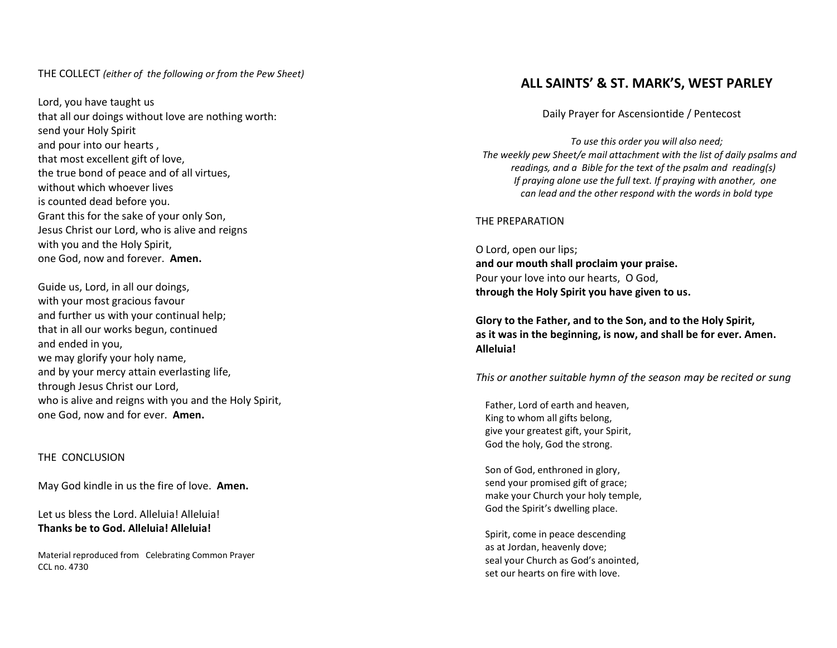#### THE COLLECT *(either of the following or from the Pew Sheet)*

Lord , you have taught us that all our doings without love are nothing worth: send your Holy Spirit and pour into our hearts , that most excellent gift of love, the true bond of peace and of all virtues, without which whoever lives is counted dead before you. Grant this for the sake of your only Son , Jesus Christ our Lord, who is alive and reigns with you and the Holy Spirit, one God, now and forever. **Amen.** 

Guide us , Lord, in all our doings, with your most gracious favour and further us with your continual help; that in all our works begun, continued and ended in you, we may glorify your holy name, and by your mercy attain everlasting life, through Jesus Christ our Lord, who is alive and reigns with you and the Holy Spirit, one God, now and for ever. **Amen.**

#### THE CONCLUSION

May God kindle in us the fire of love. **Amen.**

Let us bless the Lord. Alleluia! Alleluia! **Thanks be to God. Alleluia! Alleluia!**

Material reproduced from Celebrating Common Prayer CCL no. 4730

# **ALL SAINTS' & ST. MARK'S, WEST PARLEY**

Daily Prayer for Ascensiontide / Pentecost

 *To use this order you will also need; The weekly pew Sheet/e mail attachment with the list of daily psalms and readings, and a Bible for the text of the psalm and reading(s) If praying alone use the full text. If praying with another, one can lead and the other respond with the words in bold type*

THE PREPARATION

O Lord, open our lips; **and our mouth shall proclaim your praise.** Pour your love into our hearts, O God , **through the Holy Spirit you have given to us .**

**Glory to the Father, and to the Son, and to the Holy Spirit, as it was in the beginning, is now, and shall be for ever. Amen. Alleluia!** 

*This or another suitable hymn of the season may be recited or sung*

 Father, Lord of earth and heaven, King to whom all gifts belong, give your greatest gift, your Spirit, God the holy, God the strong.

 Son of God, enthroned in glory, send your promised gift of grace; make your Church your holy temple, God the Spirit's dwelling place.

 Spirit, come in peace descending as at Jordan, heavenly dove; seal your Church as God's anointed, set our hearts on fire with love.